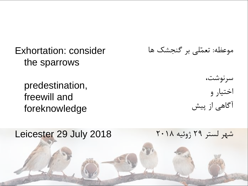Exhortation: consider the sparrows

predestination, freewill and foreknowledge

موعظه: تعمّلی بر گنجشک ها

سرنوشت، اختیار و آگاهی از پیش

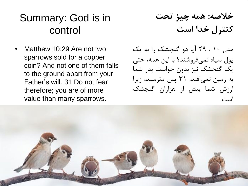# Summary: God is in control

• Matthew 10:29 Are not two sparrows sold for a copper coin? And not one of them falls to the ground apart from your Father's will. 31 Do not fear therefore; you are of more value than many sparrows.

**خالصه: همه چیز تحت کنترل خدا است**

متی 10 : 29 آیا دو گنجشک را به یک پول سیاه نمی فرو شند؟ با این همه، حتی یک گنجشک نیز بدون خواست پدر شما به زمین نمی افتد. 31 پس مترسید، زیرا ارزش شما بیش از هزاران گنجشک است.

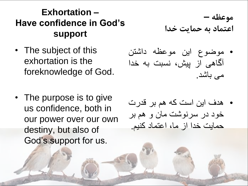#### **Exhortation – Have confidence in God's support**

- The subject of this exhortation is the foreknowledge of God.
- The purpose is to give us confidence, both in our power over our own destiny, but also of God's support for us.
- **موعظه – اعتماد به حمایت خدا**
- موضوع این موعظه داشتن آگاهی از پیش، نسبت به خدا می باشد.
- هدف این است که هم بر قدرت خود در سرنوشت مان و هم بر حمایت خدا از ما، اعتماد کنیم.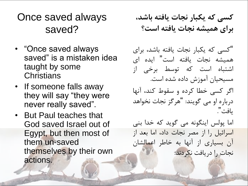Once saved always saved?

- "Once saved always saved" is a mistaken idea taught by some **Christians**
- If someone falls away they will say "they were never really saved".
- But Paul teaches that God saved Israel out of Egypt, but then most of them un-saved themselves by their own actions.

**کسی که یکبار نجات یافته باشد، برای همیشه نجات یافته است؟**

"کسی که یکبار نجات یافته باشد، برای همیشه نجات یافته است" ایده ای اشتباه است که توسط برخی از مسیحیان آموزش داده شده است.

اگر کسی خطا کرده و سقوط کند، آنها درباره او می گویند: "هرگز نجات نخواهد یافت".

اما پولس اینگونه می گوید که خدا بنی اسرائیل را از مصر نجات داد، اما بعد از آن بسیاری از آنها به خاطر اعمالشان نجات را دریافت نکردند.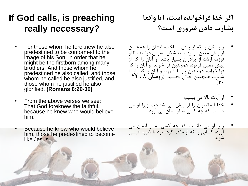#### **If God calls, is preaching really necessary?**

- For those whom he foreknew he also predestined to be conformed to the image of his Son, in order that he might be the firstborn among many brothers. And those whom he predestined he also called, and those whom he called he also justified, and those whom he justified he also glorified. **(Romans 8:29-30)**
- From the above verses we see: That God foreknew the faithful, because he knew who would believe him.
- Because he knew who would believe him, those he predestined to become like Jesus.

**اگر خدا فراخوانده است، آیا واقعا بشارت دادن ضروری است؟**

- زیرا آنان را که از پیش شناخت، ایشان را همچنین از پیش معین فرمود تا به شکل پسرش درآیند، تا او فرزند ارشد از برادران بسیار باشد. و آنان را که از پیش معین فرمود، همچنین فرا خواند؛ و آنان را که فرا خواند، همچنین پارسا شمرد؛ و آنان را که پارسا شمرد، همچنین جالل بخشید. **)رومیان 8 : -29**  $(\mathbf{r} \cdot$ 
	- از آیات باال می بینیم:
- خدا ایمانداران را از پیش می شناخت زیرا او می دانست که چه کسی به او ایمان می آورد.
- زیرا او می دانست که چه کسی به او ایمان می آورد، کسانی را که او مقدر کرده بود تا شبیه عیسی شوند.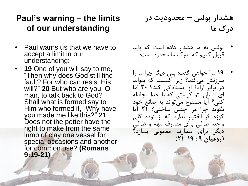#### **Paul's warning – the limits of our understanding**

- Paul warns us that we have to accept a limit in our understanding:
- **19** One of you will say to me, "Then why does God still find fault? For who can resist His will?" **20** But who are you, O man, to talk back to God? Shall what is formed say to Him who formed it, "Why have you made me like this?" **21** Does not the potter have the right to make from the same lump of clay one vessel for special occasions and another for common use? **(Romans 9:19-21)**

**هشدار پولس – محدودیت در درک ما**

- پولس به ما هشدار داده است که باید قبول کنیم که درک ما محدود است:
- **19** مرا خواهی گفت: پس دیگر چرا ما را سرزنش می کند؟ زیرا کیست که بتواند در برابر ارادۀ او ایستادگی کند؟ **20** امّا ای انسان، تو کیستی که با خدا مجادله کنی؟ آیا مصنوع می تواند به صانع خود بگوید چرا مرا چنین ساختی؟ **21** آیا کوزه گر اختیار ندارد که از توده گِلی واحد، ظرفی برای مصارف مهم و ظرفی دیگر برای مصارف معمولی بسازد؟ **)رومیان 9 : 21-19(**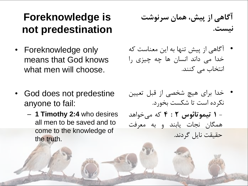# **Foreknowledge is not predestination**

- Foreknowledge only means that God knows what men will choose.
- God does not predestine anyone to fail:
	- **1 Timothy 2:4** who desires all men to be saved and to come to the knowledge of the truth.

**آگاهی از پیش، همان سرنوشت نیست.**

- آگاهی از پیش تنها به این معناست که خدا می داند انسان ها چه چیزی را انتخاب می کنند.
- خدا برای هیچ شخصی از قبل تعیین نکرده است تا شکست بخورد. - **1 تیموتائوس 2 : 4** که می خواهد همگان نجات یابند و به معرفت حقیقت نایل گردند.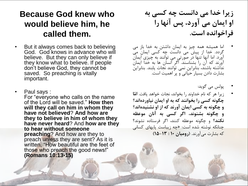#### **Because God knew who would believe him, he called them.**

- But it always comes back to believing God. God knows in advance who will believe. But they can only believe if they know what to believe. If people don't believe God, they cannot be saved. So preaching is vitally important.
- Paul says : For "everyone who calls on the name of the Lord will be saved." **How then will they call on him in whom they have not believed**? **And how are they to believe in him of whom they have never heard**? And **how are they to hear without someone preaching**? And how are they to preach unless they are sent? As it is written, "How beautiful are the feet of those who preach the good news!" **(Romans 10:13-15)**

**زیرا خدا می دانست چه کسی به او ایمان می آورد، پس آنها را فراخوانده است.**

- اما همیشه همه چیز به ایمان داشتن به خدا باز می گردد. خدا از پیش می دانست چه کسی ایمان می آورد. اما آنها تنها در صورتی می توانند به چیزی ایمان آورند که آن را بشناسند. اگر انسان ها به خدا ایمان نداشته باشند، بنابراین نمی توانند نجات یابند. بنابراین بشارت دادن بسیار حیاتی و پر اهمیت است.
	- پولس می گوید:
- زیرا هر که نام خداوند را بخواند، نجات خواهد یافت. **امّا چگونه کسی را بخوانند که به او ایمان نیاورده اند؟ و چگونه به کسی ایمان آورند که از او نشنیده اند؟ و چگونه بشنوند، اگر کسی به آنان موعظه نکند؟** و چگونه موعظه کنند، اگر فرستاده نشوند؟ چنانکه نوشته شده است: »چه زیباست پایهای کسانی که بشارت می آورند. **)رومیان 10 : 15-13(**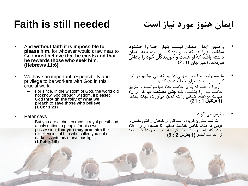# **Faith is still needed**

- And **without faith it is impossible to please him**, for whoever would draw near to God **must believe that he exists and that he rewards tho[s](libronixdls:keylink|ref=[en]bible:Heb11.6|res=LLS:ESV)e who seek him**. **(Hebrews 11:6)**
- We have an important responsibility and privilege to be workers with God in this crucial work.
	- For since, in the wisdom of God, the world did not know God through wisdom, it pleased God **through the folly of what we preach** to **save those who believe**. **)1 Cor 1:21(**
- Peter says :
	- But you are a chosen race, a royal priesthood, a holy nation, a people for his own possession, **that you may proclaim** the excellencies of him who called you out of darkness into his marvelous light. **(1 Peter 2:9)**

**ایمان هنوز مورد نیاز است**

- و **بدون ایمان ممکن نیست بتوان خدا را خشنود ساخت**، زیرا هر که به او نزدیک می شود، **باید ایمان داشته باشد که او هست و جویندگان خود را پاداش می دهد. )عبرانیان 11 : 6(**
- ما مسئولیت و امتیاز مهمی داریم که می توانیم در این کار بسیار سخت برای خدا خدمت کنیم. - زیرا از آنجا که بنا بر حکمتِ خدا، دنیا نتوانست از طریق حکم ت خدا را بشناسد، خدا **چنان مصلحت دید که از راه جهال ت موعظه، کسانی را که ایمان می آورند، نجات بخشد**. **)1 قرنتیان 1 : 21(**
- پطرس می گوید: - ا ّما شما ملتی برگزیده و مملکتی از کاهنان و ا ّمتی مقّدس و قومی که ملک خاص خداست هستید، **تا** فضایل او را **اعالم کنید** که شما را از تاریکی به نور حیرت انگیز خود فرا خوانده است. **)1 پطرس 2 : 9(**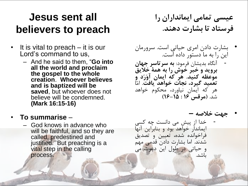# **Jesus sent all believers to preach**

- It is vital to preach it is our Lord's command to us,
	- And he said to them, "**Go into all the world and proclaim the gospel to the whole creation**. **Whoever believes and is baptized will be saved**, but whoever does not believe will be condemned. **(Mark 16:15-16)**

#### • **To summarise** –

– God knows in advance who will be faithful, and so they are called, predestined and justified. But preaching is a vital step in the calling process.

**عیسی تمامی ایمانداران را فرستاد تا بشارت دهند.**

- بشارت دادن امری حیاتی است. سرورمان این را به ما دستور داده است. - آنگاه بدیشان فرمود: **به سرتاسر جهان بروید و خبر خوش را به همۀ خالیق**
- **موعظه کنید. هر که ایمان آوَرَد و تعمید گیرد، نجات خواهد یافت**. امّا هر که ایمان نیاورد، محکوم خواهد شد. **)مرقس 16 : 16-15(**
	- **جهت خالصه –**
- خدا از پیش می دانست چه کسی ایماندار خواهد بود و بنابراین آنها فراخوانده شده، تعیین و تصدیق شدند. اما بشارت دادن قدمی مهم و حیاتی در طول این دعوت می باشد.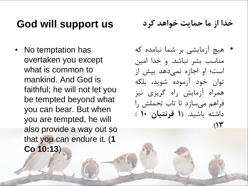## **God will support us**

• No temptation has overtaken you except what is common to mankind. And God is faithful; he will not let you be tempted beyond what you can bear. But when you are tempted, he will also provide a way out so that you can endure it. (**1 Co 10:13**)

**خدا از ما حمایت خواهد کرد**

• هیچ آزمایشی بر شما نیامده که مناسب بشر نباشد. و خدا امین است؛ او اجازه نمی دهد بیش از توان خود آزموده شوید، بلکه همراه آزمایش راه گریزی نیز فراهم می سازد تا تاب تحملش را داشته باشید. )**1 قرنتیان 10 :**  $(14)$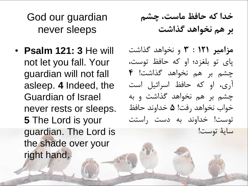God our guardian never sleeps

• **Psalm 121: 3** He will not let you fall. Your guardian will not fall asleep. **4** Indeed, the Guardian of Israel never rests or sleeps. **5** The Lord is your guardian. The Lord is the shade over your right hand.

**خدا که حافظ ماست، چشم بر هم نخواهد گذاشت**

**مزامیر 121 : 3** و نخواهد گذاشت پای تو بلغزد؛ او که حافظ توست، چشم بر هم نخواهد گذاشت! **4** آری، او که حافظ اسرائیل است چشم بر هم نخواهد گذاشت و به خواب نخواهد رفت! **5** خداوند حافظ توست! خداوند به دست راستت سایۀ توست!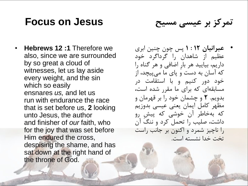#### **Focus on Jesus**

**تمرکز بر عیسی مسیح**

- **Hebrews 12 :1** Therefore we also, since we are surrounded by so great a cloud of witnesses, let us lay aside every weight, and the sin which so easily ensnares *us,* and let us run with endurance the race that is set before us, **2** looking unto Jesus, the author and finisher of *our* faith, who for the joy that was set before Him endured the cross, despising the shame, and has sat down at the right hand of the throne of God.
- **عبرانیان 12 : 1** پس چون چنین ابری عظیم از شاهدان را گرداگرد خود داریم، بیایید هر بارِ اضافی و هر گناه را که آسان به دست و پای ما می پیچد، از خود دور کنیم و با استقامت در مسابقهای که برای ما مقرر شده است، بدویم. **2** و چشمان خود را بر قهرمان و مظهر کامل ایمان یعنی عیسی بدوزیم که به خاطر آن خوشی که پیشِ رو داشت، صلیب را تحمل کرد و ننگ آن را ناچیز شمرد و اکنون بر جانب راست تخت خدا نشسته است.